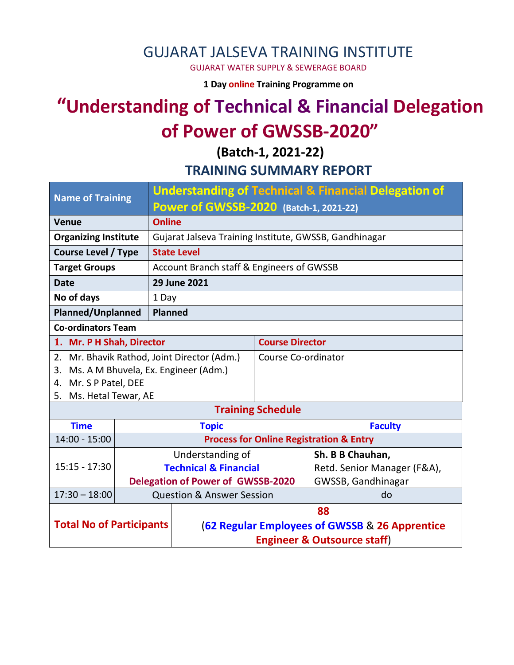### GUJARAT JALSEVA TRAINING INSTITUTE

GUJARAT WATER SUPPLY & SEWERAGE BOARD

**1 Day online Training Programme on** 

# **"Understanding of Technical & Financial Delegation of Power of GWSSB-2020"**

**(Batch-1, 2021-22) TRAINING SUMMARY REPORT**

| <b>Name of Training</b>                     |  | <b>Understanding of Technical &amp; Financial Delegation of</b> |                                                    |                             |  |  |
|---------------------------------------------|--|-----------------------------------------------------------------|----------------------------------------------------|-----------------------------|--|--|
|                                             |  | Power of GWSSB-2020 (Batch-1, 2021-22)                          |                                                    |                             |  |  |
| <b>Venue</b>                                |  | <b>Online</b>                                                   |                                                    |                             |  |  |
| <b>Organizing Institute</b>                 |  | Gujarat Jalseva Training Institute, GWSSB, Gandhinagar          |                                                    |                             |  |  |
| <b>Course Level / Type</b>                  |  | <b>State Level</b>                                              |                                                    |                             |  |  |
| <b>Target Groups</b>                        |  | Account Branch staff & Engineers of GWSSB                       |                                                    |                             |  |  |
| <b>Date</b>                                 |  | 29 June 2021                                                    |                                                    |                             |  |  |
| No of days                                  |  | 1 Day                                                           |                                                    |                             |  |  |
| <b>Planned/Unplanned</b>                    |  | <b>Planned</b>                                                  |                                                    |                             |  |  |
| <b>Co-ordinators Team</b>                   |  |                                                                 |                                                    |                             |  |  |
| 1. Mr. P H Shah, Director                   |  |                                                                 | <b>Course Director</b>                             |                             |  |  |
| 2. Mr. Bhavik Rathod, Joint Director (Adm.) |  |                                                                 | Course Co-ordinator                                |                             |  |  |
| Ms. A M Bhuvela, Ex. Engineer (Adm.)<br>3.  |  |                                                                 |                                                    |                             |  |  |
| 4. Mr. S P Patel, DEE                       |  |                                                                 |                                                    |                             |  |  |
| Ms. Hetal Tewar, AE<br>5.                   |  |                                                                 |                                                    |                             |  |  |
|                                             |  |                                                                 | <b>Training Schedule</b>                           |                             |  |  |
| <b>Time</b>                                 |  | <b>Topic</b>                                                    |                                                    | <b>Faculty</b>              |  |  |
| $14:00 - 15:00$                             |  |                                                                 | <b>Process for Online Registration &amp; Entry</b> |                             |  |  |
|                                             |  | Understanding of                                                |                                                    | Sh. B B Chauhan,            |  |  |
| $15:15 - 17:30$                             |  | <b>Technical &amp; Financial</b>                                |                                                    | Retd. Senior Manager (F&A), |  |  |
|                                             |  | <b>Delegation of Power of GWSSB-2020</b>                        |                                                    | GWSSB, Gandhinagar          |  |  |
| $17:30 - 18:00$                             |  | <b>Question &amp; Answer Session</b>                            |                                                    | do                          |  |  |
| <b>Total No of Participants</b>             |  | 88                                                              |                                                    |                             |  |  |
|                                             |  | (62 Regular Employees of GWSSB & 26 Apprentice                  |                                                    |                             |  |  |
|                                             |  | <b>Engineer &amp; Outsource staff)</b>                          |                                                    |                             |  |  |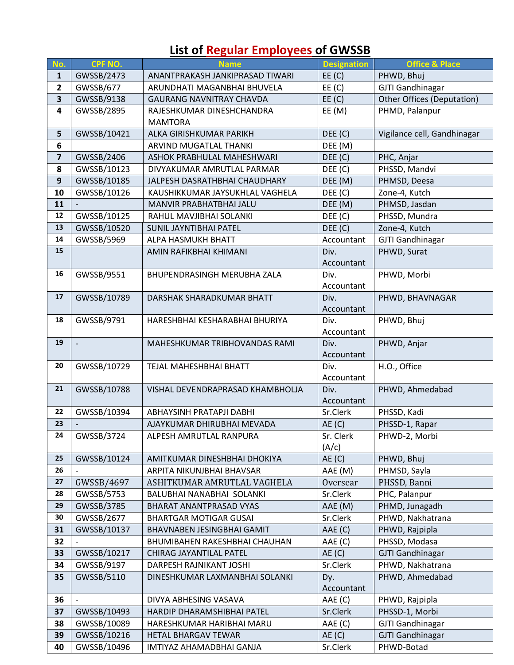## **List of Regular Employees of GWSSB**

| No.                     | <b>CPF NO.</b>           | <b>Name</b>                      | <b>Designation</b> | <b>Office &amp; Place</b>   |
|-------------------------|--------------------------|----------------------------------|--------------------|-----------------------------|
| $\mathbf{1}$            | GWSSB/2473               | ANANTPRAKASH JANKIPRASAD TIWARI  | EE(C)              | PHWD, Bhuj                  |
| $\overline{2}$          | GWSSB/677                | ARUNDHATI MAGANBHAI BHUVELA      | EE(C)              | <b>GJTI Gandhinagar</b>     |
| $\overline{\mathbf{3}}$ | GWSSB/9138               | <b>GAURANG NAVNITRAY CHAVDA</b>  | EE(C)              | Other Offices (Deputation)  |
| 4                       | GWSSB/2895               | RAJESHKUMAR DINESHCHANDRA        | EE(M)              | PHMD, Palanpur              |
|                         |                          | <b>MAMTORA</b>                   |                    |                             |
| 5                       | GWSSB/10421              | ALKA GIRISHKUMAR PARIKH          | DEF(C)             | Vigilance cell, Gandhinagar |
| 6                       |                          | ARVIND MUGATLAL THANKI           | DEE (M)            |                             |
| $\overline{\mathbf{z}}$ | GWSSB/2406               | ASHOK PRABHULAL MAHESHWARI       | DEF(C)             | PHC, Anjar                  |
| 8                       | GWSSB/10123              | DIVYAKUMAR AMRUTLAL PARMAR       | DEF(C)             | PHSSD, Mandvi               |
| $\mathbf{9}$            | GWSSB/10185              | JALPESH DASRATHBHAI CHAUDHARY    | DEE (M)            | PHMSD, Deesa                |
| 10                      | GWSSB/10126              | KAUSHIKKUMAR JAYSUKHLAL VAGHELA  | DEE (C)            | Zone-4, Kutch               |
| 11                      |                          | MANVIR PRABHATBHAI JALU          | DEE (M)            | PHMSD, Jasdan               |
| 12                      | GWSSB/10125              | RAHUL MAVJIBHAI SOLANKI          | DEE (C)            | PHSSD, Mundra               |
| 13                      | GWSSB/10520              | SUNIL JAYNTIBHAI PATEL           | DEF(C)             | Zone-4, Kutch               |
| 14                      | GWSSB/5969               | ALPA HASMUKH BHATT               | Accountant         | <b>GJTI Gandhinagar</b>     |
| 15                      |                          | AMIN RAFIKBHAI KHIMANI           | Div.               | PHWD, Surat                 |
|                         |                          |                                  | Accountant         |                             |
| 16                      | GWSSB/9551               | BHUPENDRASINGH MERUBHA ZALA      | Div.               | PHWD, Morbi                 |
|                         |                          |                                  | Accountant         |                             |
| 17                      | GWSSB/10789              | DARSHAK SHARADKUMAR BHATT        | Div.               | PHWD, BHAVNAGAR             |
|                         |                          |                                  | Accountant         |                             |
| 18                      | GWSSB/9791               | HARESHBHAI KESHARABHAI BHURIYA   | Div.               | PHWD, Bhuj                  |
|                         |                          |                                  | Accountant         |                             |
| 19                      |                          | MAHESHKUMAR TRIBHOVANDAS RAMI    | Div.               | PHWD, Anjar                 |
|                         |                          |                                  | Accountant         |                             |
| 20                      | GWSSB/10729              | TEJAL MAHESHBHAI BHATT           | Div.               | H.O., Office                |
|                         |                          |                                  | Accountant         |                             |
| 21                      | GWSSB/10788              | VISHAL DEVENDRAPRASAD KHAMBHOLJA | Div.               | PHWD, Ahmedabad             |
|                         |                          |                                  | Accountant         |                             |
| 22                      | GWSSB/10394              | ABHAYSINH PRATAPJI DABHI         | Sr.Clerk           | PHSSD, Kadi                 |
| 23                      |                          | AJAYKUMAR DHIRUBHAI MEVADA       | AE(C)              | PHSSD-1, Rapar              |
| 24                      | GWSSB/3724               | ALPESH AMRUTLAL RANPURA          | Sr. Clerk          | PHWD-2, Morbi               |
|                         |                          |                                  | (A/c)              |                             |
| 25                      | GWSSB/10124              | AMITKUMAR DINESHBHAI DHOKIYA     | AE(C)              | PHWD, Bhuj                  |
| 26                      |                          | ARPITA NIKUNJBHAI BHAVSAR        | AAE (M)            | PHMSD, Sayla                |
| 27                      | GWSSB/4697               | ASHITKUMAR AMRUTLAL VAGHELA      | Oversear           | PHSSD, Banni                |
| 28                      | GWSSB/5753               | BALUBHAI NANABHAI SOLANKI        | Sr.Clerk           | PHC, Palanpur               |
| 29                      | GWSSB/3785               | BHARAT ANANTPRASAD VYAS          | AAE (M)            | PHMD, Junagadh              |
| 30                      | GWSSB/2677               | <b>BHARTGAR MOTIGAR GUSAI</b>    | Sr.Clerk           | PHWD, Nakhatrana            |
| 31                      | GWSSB/10137              | BHAVNABEN JESINGBHAI GAMIT       | AAE (C)            | PHWD, Rajpipla              |
| 32                      |                          | BHUMIBAHEN RAKESHBHAI CHAUHAN    | AAE (C)            | PHSSD, Modasa               |
| 33                      | GWSSB/10217              | CHIRAG JAYANTILAL PATEL          | AE(C)              | <b>GJTI Gandhinagar</b>     |
| 34                      | GWSSB/9197               | DARPESH RAJNIKANT JOSHI          | Sr.Clerk           | PHWD, Nakhatrana            |
| 35                      | GWSSB/5110               | DINESHKUMAR LAXMANBHAI SOLANKI   | Dy.                | PHWD, Ahmedabad             |
|                         |                          |                                  | Accountant         |                             |
| 36                      | $\overline{\phantom{a}}$ | DIVYA ABHESING VASAVA            | AAE (C)            | PHWD, Rajpipla              |
| 37                      | GWSSB/10493              | HARDIP DHARAMSHIBHAI PATEL       | Sr.Clerk           | PHSSD-1, Morbi              |
| 38                      | GWSSB/10089              | HARESHKUMAR HARIBHAI MARU        | AAE (C)            | <b>GJTI Gandhinagar</b>     |
| 39                      | GWSSB/10216              | HETAL BHARGAV TEWAR              | AE(C)              | <b>GJTI Gandhinagar</b>     |
| 40                      | GWSSB/10496              | IMTIYAZ AHAMADBHAI GANJA         | Sr.Clerk           | PHWD-Botad                  |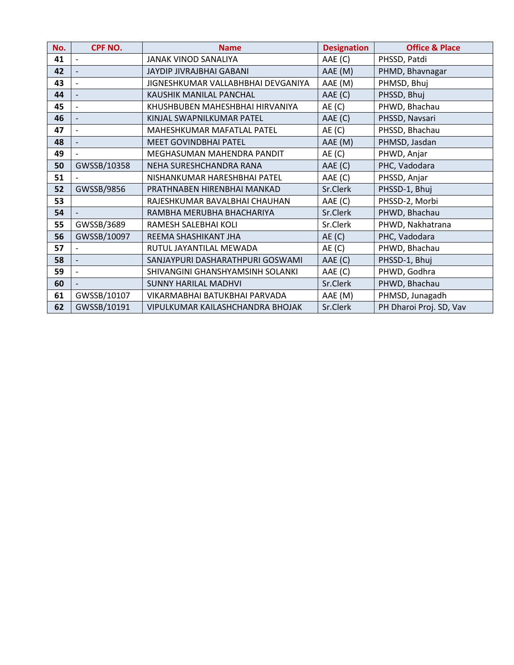| No. | <b>CPF NO.</b> | <b>Name</b>                        | <b>Designation</b> | <b>Office &amp; Place</b> |
|-----|----------------|------------------------------------|--------------------|---------------------------|
| 41  |                | JANAK VINOD SANALIYA               | AAE (C)            | PHSSD, Patdi              |
| 42  |                | <b>JAYDIP JIVRAJBHAI GABANI</b>    | AAE (M)            | PHMD, Bhavnagar           |
| 43  |                | JIGNESHKUMAR VALLABHBHAI DEVGANIYA | AAE (M)            | PHMSD, Bhuj               |
| 44  |                | KAUSHIK MANILAL PANCHAL            | AAE (C)            | PHSSD, Bhuj               |
| 45  |                | KHUSHBUBEN MAHESHBHAI HIRVANIYA    | AE(C)              | PHWD, Bhachau             |
| 46  |                | KINJAL SWAPNILKUMAR PATEL          | AAE (C)            | PHSSD, Navsari            |
| 47  |                | MAHESHKUMAR MAFATLAL PATEL         | AE(C)              | PHSSD, Bhachau            |
| 48  |                | <b>MEET GOVINDBHAI PATEL</b>       | AAE (M)            | PHMSD, Jasdan             |
| 49  |                | MEGHASUMAN MAHENDRA PANDIT         | AE(C)              | PHWD, Anjar               |
| 50  | GWSSB/10358    | NEHA SURESHCHANDRA RANA            | AAE (C)            | PHC, Vadodara             |
| 51  |                | NISHANKUMAR HARESHBHAI PATEL       | AAE (C)            | PHSSD, Anjar              |
| 52  | GWSSB/9856     | PRATHNABEN HIRENBHAI MANKAD        | Sr.Clerk           | PHSSD-1, Bhuj             |
| 53  |                | RAJESHKUMAR BAVALBHAI CHAUHAN      | AAE (C)            | PHSSD-2, Morbi            |
| 54  |                | RAMBHA MERUBHA BHACHARIYA          | Sr.Clerk           | PHWD, Bhachau             |
| 55  | GWSSB/3689     | RAMESH SALEBHAI KOLI               | Sr.Clerk           | PHWD, Nakhatrana          |
| 56  | GWSSB/10097    | REEMA SHASHIKANT JHA               | AE(C)              | PHC, Vadodara             |
| 57  |                | RUTUL JAYANTILAL MEWADA            | AE(C)              | PHWD, Bhachau             |
| 58  |                | SANJAYPURI DASHARATHPURI GOSWAMI   | AAE (C)            | PHSSD-1, Bhuj             |
| 59  |                | SHIVANGINI GHANSHYAMSINH SOLANKI   | AAE (C)            | PHWD, Godhra              |
| 60  |                | <b>SUNNY HARILAL MADHVI</b>        | Sr.Clerk           | PHWD, Bhachau             |
| 61  | GWSSB/10107    | VIKARMABHAI BATUKBHAI PARVADA      | AAE (M)            | PHMSD, Junagadh           |
| 62  | GWSSB/10191    | VIPULKUMAR KAILASHCHANDRA BHOJAK   | Sr.Clerk           | PH Dharoi Proj. SD, Vav   |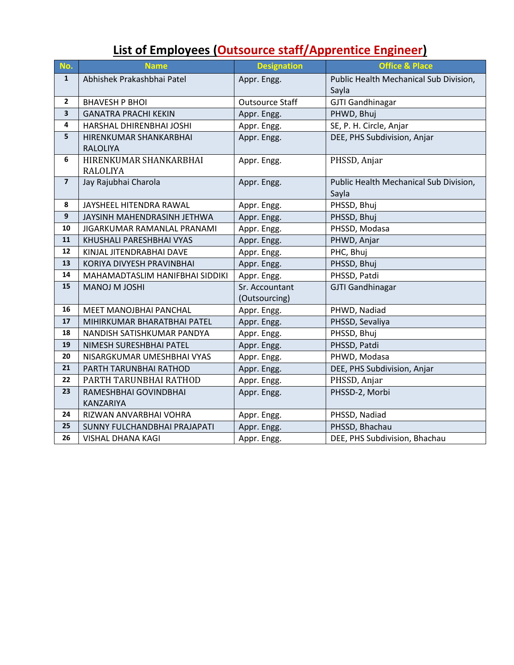### **List of Employees (Outsource staff/Apprentice Engineer)**

| No.                     | <b>Name</b>                     | <b>Designation</b>     | <b>Office &amp; Place</b>              |  |
|-------------------------|---------------------------------|------------------------|----------------------------------------|--|
| $\mathbf{1}$            | Abhishek Prakashbhai Patel      | Appr. Engg.            | Public Health Mechanical Sub Division, |  |
|                         |                                 |                        | Sayla                                  |  |
| $\mathbf{2}$            | <b>BHAVESH P BHOI</b>           | <b>Outsource Staff</b> | <b>GJTI Gandhinagar</b>                |  |
| $\overline{\mathbf{3}}$ | <b>GANATRA PRACHI KEKIN</b>     | Appr. Engg.            | PHWD, Bhuj                             |  |
| $\overline{\mathbf{4}}$ | HARSHAL DHIRENBHAI JOSHI        | Appr. Engg.            | SE, P. H. Circle, Anjar                |  |
| 5                       | HIRENKUMAR SHANKARBHAI          | Appr. Engg.            | DEE, PHS Subdivision, Anjar            |  |
|                         | <b>RALOLIYA</b>                 |                        |                                        |  |
| 6                       | HIRENKUMAR SHANKARBHAI          | Appr. Engg.            | PHSSD, Anjar                           |  |
|                         | <b>RALOLIYA</b>                 |                        |                                        |  |
| $\overline{\mathbf{z}}$ | Jay Rajubhai Charola            | Appr. Engg.            | Public Health Mechanical Sub Division, |  |
|                         |                                 |                        | Sayla                                  |  |
| 8                       | JAYSHEEL HITENDRA RAWAL         | Appr. Engg.            | PHSSD, Bhuj                            |  |
| $\boldsymbol{9}$        | JAYSINH MAHENDRASINH JETHWA     | Appr. Engg.            | PHSSD, Bhuj                            |  |
| 10                      | JIGARKUMAR RAMANLAL PRANAMI     | Appr. Engg.            | PHSSD, Modasa                          |  |
| 11                      | KHUSHALI PARESHBHAI VYAS        | Appr. Engg.            | PHWD, Anjar                            |  |
| 12                      | KINJAL JITENDRABHAI DAVE        | Appr. Engg.            | PHC, Bhuj                              |  |
| 13                      | KORIYA DIVYESH PRAVINBHAI       | Appr. Engg.            | PHSSD, Bhuj                            |  |
| 14                      | MAHAMADTASLIM HANIFBHAI SIDDIKI | Appr. Engg.            | PHSSD, Patdi                           |  |
| 15                      | MANOJ M JOSHI                   | Sr. Accountant         | <b>GJTI Gandhinagar</b>                |  |
|                         |                                 | (Outsourcing)          |                                        |  |
| 16                      | MEET MANOJBHAI PANCHAL          | Appr. Engg.            | PHWD, Nadiad                           |  |
| 17                      | MIHIRKUMAR BHARATBHAI PATEL     | Appr. Engg.            | PHSSD, Sevaliya                        |  |
| 18                      | NANDISH SATISHKUMAR PANDYA      | Appr. Engg.            | PHSSD, Bhuj                            |  |
| 19                      | NIMESH SURESHBHAI PATEL         | Appr. Engg.            | PHSSD, Patdi                           |  |
| 20                      | NISARGKUMAR UMESHBHAI VYAS      | Appr. Engg.            | PHWD, Modasa                           |  |
| 21                      | PARTH TARUNBHAI RATHOD          | Appr. Engg.            | DEE, PHS Subdivision, Anjar            |  |
| 22                      | PARTH TARUNBHAI RATHOD          | Appr. Engg.            | PHSSD, Anjar                           |  |
| 23                      | RAMESHBHAI GOVINDBHAI           | Appr. Engg.            | PHSSD-2, Morbi                         |  |
|                         | KANZARIYA                       |                        |                                        |  |
| 24                      | RIZWAN ANVARBHAI VOHRA          | Appr. Engg.            | PHSSD, Nadiad                          |  |
| 25                      | SUNNY FULCHANDBHAI PRAJAPATI    | Appr. Engg.            | PHSSD, Bhachau                         |  |
| 26                      | <b>VISHAL DHANA KAGI</b>        | Appr. Engg.            | DEE, PHS Subdivision, Bhachau          |  |